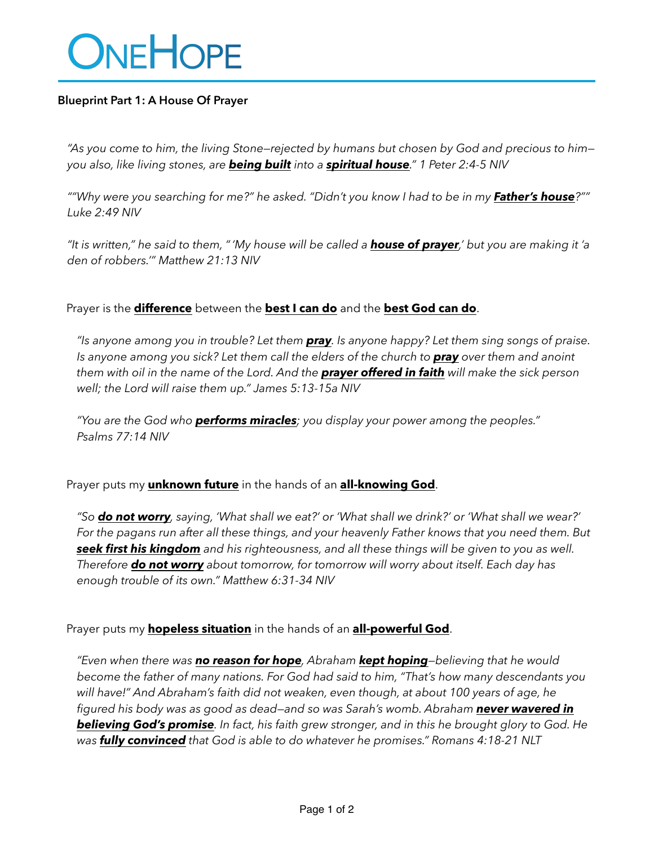# ONEHOPE

## **Blueprint Part 1: A House Of Prayer**

*"As you come to him, the living Stone—rejected by humans but chosen by God and precious to him you also, like living stones, are being built into a spiritual house." 1 Peter 2:4-5 NIV*

*""Why were you searching for me?" he asked. "Didn't you know I had to be in my Father's house?"" Luke 2:49 NIV*

*"It is written," he said to them, "'My house will be called a house of prayer,' but you are making it 'a den of robbers.'" Matthew 21:13 NIV*

Prayer is the **difference** between the **best I can do** and the **best God can do**.

*"Is anyone among you in trouble? Let them pray. Is anyone happy? Let them sing songs of praise. Is anyone among you sick? Let them call the elders of the church to pray over them and anoint them with oil in the name of the Lord. And the prayer offered in faith will make the sick person well; the Lord will raise them up." James 5:13-15a NIV*

*"You are the God who performs miracles; you display your power among the peoples." Psalms 77:14 NIV*

Prayer puts my **unknown future** in the hands of an **all-knowing God**.

*"So do not worry, saying, 'What shall we eat?' or 'What shall we drink?' or 'What shall we wear?' For the pagans run after all these things, and your heavenly Father knows that you need them. But seek first his kingdom and his righteousness, and all these things will be given to you as well. Therefore do not worry about tomorrow, for tomorrow will worry about itself. Each day has enough trouble of its own." Matthew 6:31-34 NIV*

Prayer puts my **hopeless situation** in the hands of an **all-powerful God**.

*"Even when there was no reason for hope, Abraham kept hoping—believing that he would become the father of many nations. For God had said to him, "That's how many descendants you will have!" And Abraham's faith did not weaken, even though, at about 100 years of age, he figured his body was as good as dead—and so was Sarah's womb. Abraham never wavered in believing God's promise. In fact, his faith grew stronger, and in this he brought glory to God. He was fully convinced that God is able to do whatever he promises." Romans 4:18-21 NLT*